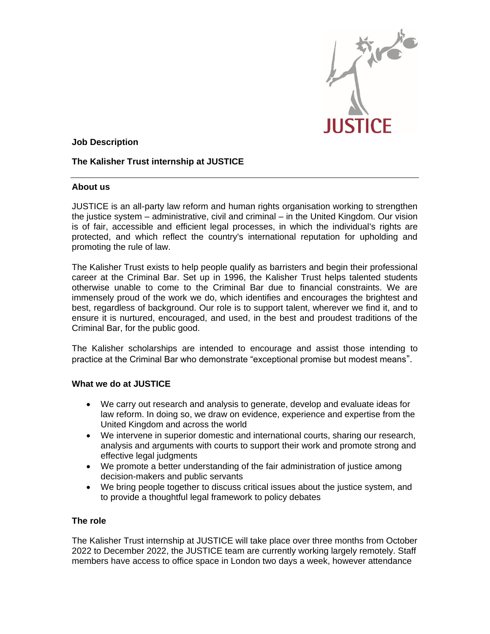

## **Job Description**

# **The Kalisher Trust internship at JUSTICE**

## **About us**

JUSTICE is an all-party law reform and human rights organisation working to strengthen the justice system – administrative, civil and criminal – in the United Kingdom. Our vision is of fair, accessible and efficient legal processes, in which the individual's rights are protected, and which reflect the country's international reputation for upholding and promoting the rule of law.

The Kalisher Trust exists to help people qualify as barristers and begin their professional career at the Criminal Bar. Set up in 1996, the Kalisher Trust helps talented students otherwise unable to come to the Criminal Bar due to financial constraints. We are immensely proud of the work we do, which identifies and encourages the brightest and best, regardless of background. Our role is to support talent, wherever we find it, and to ensure it is nurtured, encouraged, and used, in the best and proudest traditions of the Criminal Bar, for the public good.

The Kalisher scholarships are intended to encourage and assist those intending to practice at the Criminal Bar who demonstrate "exceptional promise but modest means".

### **What we do at JUSTICE**

- We carry out research and analysis to generate, develop and evaluate ideas for law reform. In doing so, we draw on evidence, experience and expertise from the United Kingdom and across the world
- We intervene in superior domestic and international courts, sharing our research, analysis and arguments with courts to support their work and promote strong and effective legal judgments
- We promote a better understanding of the fair administration of justice among decision-makers and public servants
- We bring people together to discuss critical issues about the justice system, and to provide a thoughtful legal framework to policy debates

### **The role**

The Kalisher Trust internship at JUSTICE will take place over three months from October 2022 to December 2022, the JUSTICE team are currently working largely remotely. Staff members have access to office space in London two days a week, however attendance